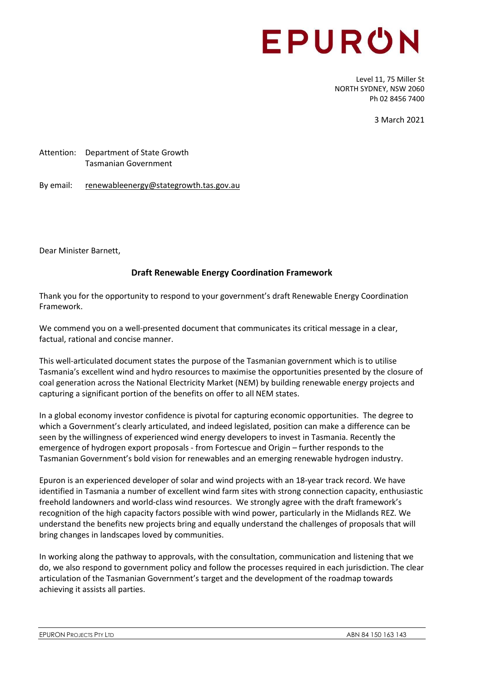# EPURON

Level 11, 75 Miller St NORTH SYDNEY, NSW 2060 Ph 02 8456 7400

3 March 2021

Attention: Department of State Growth Tasmanian Government

By email: renewableenergy@stategrowth.tas.gov.au

Dear Minister Barnett,

# **Draft Renewable Energy Coordination Framework**

Thank you for the opportunity to respond to your government's draft Renewable Energy Coordination Framework.

We commend you on a well-presented document that communicates its critical message in a clear, factual, rational and concise manner.

This well-articulated document states the purpose of the Tasmanian government which is to utilise Tasmania's excellent wind and hydro resources to maximise the opportunities presented by the closure of coal generation across the National Electricity Market (NEM) by building renewable energy projects and capturing a significant portion of the benefits on offer to all NEM states.

In a global economy investor confidence is pivotal for capturing economic opportunities. The degree to which a Government's clearly articulated, and indeed legislated, position can make a difference can be seen by the willingness of experienced wind energy developers to invest in Tasmania. Recently the emergence of hydrogen export proposals - from Fortescue and Origin – further responds to the Tasmanian Government's bold vision for renewables and an emerging renewable hydrogen industry.

Epuron is an experienced developer of solar and wind projects with an 18-year track record. We have identified in Tasmania a number of excellent wind farm sites with strong connection capacity, enthusiastic freehold landowners and world-class wind resources. We strongly agree with the draft framework's recognition of the high capacity factors possible with wind power, particularly in the Midlands REZ. We understand the benefits new projects bring and equally understand the challenges of proposals that will bring changes in landscapes loved by communities.

In working along the pathway to approvals, with the consultation, communication and listening that we do, we also respond to government policy and follow the processes required in each jurisdiction. The clear articulation of the Tasmanian Government's target and the development of the roadmap towards achieving it assists all parties.

EPURON PROJECTS PTY LTD **ABN 84 150 163 143**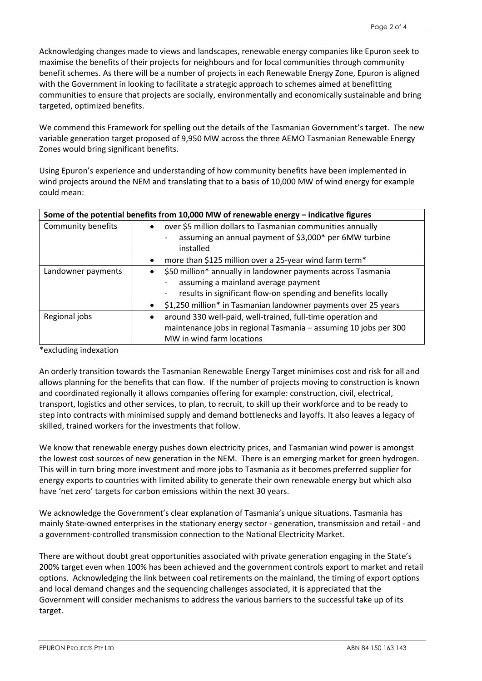Acknowledging changes made to views and landscapes, renewable energy companies like Epuron seek to maximise the benefits of their projects for neighbours and for local communities through community benefit schemes. As there will be a number of projects in each Renewable Energy Zone, Epuron is aligned with the Government in looking to facilitate a strategic approach to schemes aimed at benefitting communities to ensure that projects are socially, environmentally and economically sustainable and bring targeted, optimized benefits.

We commend this Framework for spelling out the details of the Tasmanian Government's target. The new variable generation target proposed of 9,950 MW across the three AEMO Tasmanian Renewable Energy Zones would bring significant benefits.

Using Epuron's experience and understanding of how community benefits have been implemented in wind projects around the NEM and translating that to a basis of 10,000 MW of wind energy for example could mean:

| Some of the potential benefits from 10,000 MW of renewable energy - indicative figures |                                                                                                                                                                                  |
|----------------------------------------------------------------------------------------|----------------------------------------------------------------------------------------------------------------------------------------------------------------------------------|
| Community benefits                                                                     | over \$5 million dollars to Tasmanian communities annually<br>$\bullet$<br>assuming an annual payment of \$3,000* per 6MW turbine<br>installed                                   |
|                                                                                        | more than \$125 million over a 25-year wind farm term*                                                                                                                           |
| Landowner payments                                                                     | \$50 million* annually in landowner payments across Tasmania<br>$\bullet$<br>assuming a mainland average payment<br>results in significant flow-on spending and benefits locally |
|                                                                                        | \$1,250 million* in Tasmanian landowner payments over 25 years                                                                                                                   |
| Regional jobs                                                                          | around 330 well-paid, well-trained, full-time operation and<br>$\bullet$<br>maintenance jobs in regional Tasmania - assuming 10 jobs per 300<br>MW in wind farm locations        |

\*excluding indexation

An orderly transition towards the Tasmanian Renewable Energy Target minimises cost and risk for all and allows planning for the benefits that can flow. If the number of projects moving to construction is known and coordinated regionally it allows companies offering for example: construction, civil, electrical, transport, logistics and other services, to plan, to recruit, to skill up their workforce and to be ready to step into contracts with minimised supply and demand bottlenecks and layoffs. It also leaves a legacy of skilled, trained workers for the investments that follow.

We know that renewable energy pushes down electricity prices, and Tasmanian wind power is amongst the lowest cost sources of new generation in the NEM. There is an emerging market for green hydrogen. This will in turn bring more investment and more jobs to Tasmania as it becomes preferred supplier for energy exports to countries with limited ability to generate their own renewable energy but which also have 'net zero' targets for carbon emissions within the next 30 years.

We acknowledge the Government's clear explanation of Tasmania's unique situations. Tasmania has mainly State-owned enterprises in the stationary energy sector - generation, transmission and retail - and a government-controlled transmission connection to the National Electricity Market.

There are without doubt great opportunities associated with private generation engaging in the State's 200% target even when 100% has been achieved and the government controls export to market and retail options. Acknowledging the link between coal retirements on the mainland, the timing of export options and local demand changes and the sequencing challenges associated, it is appreciated that the Government will consider mechanisms to address the various barriers to the successful take up of its target.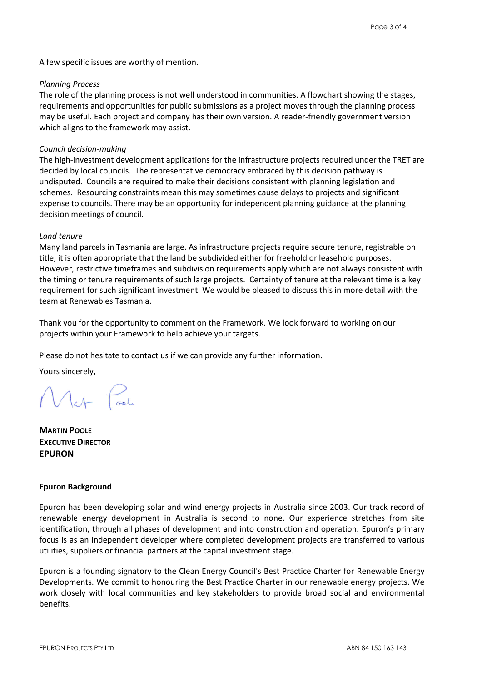A few specific issues are worthy of mention.

## *Planning Process*

The role of the planning process is not well understood in communities. A flowchart showing the stages, requirements and opportunities for public submissions as a project moves through the planning process may be useful. Each project and company has their own version. A reader-friendly government version which aligns to the framework may assist.

# *Council decision-making*

The high-investment development applications for the infrastructure projects required under the TRET are decided by local councils. The representative democracy embraced by this decision pathway is undisputed. Councils are required to make their decisions consistent with planning legislation and schemes. Resourcing constraints mean this may sometimes cause delays to projects and significant expense to councils. There may be an opportunity for independent planning guidance at the planning decision meetings of council.

## *Land tenure*

Many land parcels in Tasmania are large. As infrastructure projects require secure tenure, registrable on title, it is often appropriate that the land be subdivided either for freehold or leasehold purposes. However, restrictive timeframes and subdivision requirements apply which are not always consistent with the timing or tenure requirements of such large projects. Certainty of tenure at the relevant time is a key requirement for such significant investment. We would be pleased to discuss this in more detail with the team at Renewables Tasmania.

Thank you for the opportunity to comment on the Framework. We look forward to working on our projects within your Framework to help achieve your targets.

Please do not hesitate to contact us if we can provide any further information.

Yours sincerely,

**MARTIN POOLE EXECUTIVE DIRECTOR EPURON**

## **Epuron Background**

Epuron has been developing solar and wind energy projects in Australia since 2003. Our track record of renewable energy development in Australia is second to none. Our experience stretches from site identification, through all phases of development and into construction and operation. Epuron's primary focus is as an independent developer where completed development projects are transferred to various utilities, suppliers or financial partners at the capital investment stage.

Epuron is a founding signatory to the Clean Energy Council's Best Practice Charter for Renewable Energy Developments. We commit to honouring the Best Practice Charter in our renewable energy projects. We work closely with local communities and key stakeholders to provide broad social and environmental benefits.